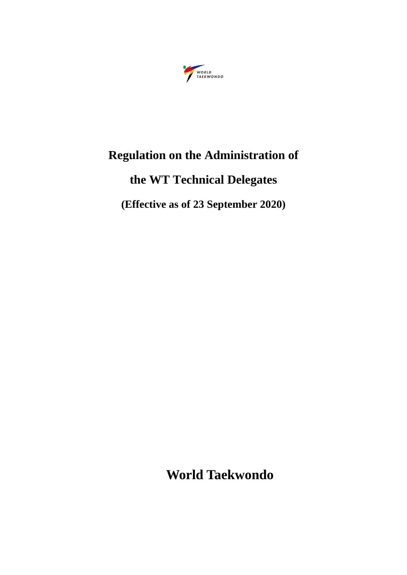

# **Regulation on the Administration of**

# **the WT Technical Delegates**

**(Effective as of 23 September 2020)**

**World Taekwondo**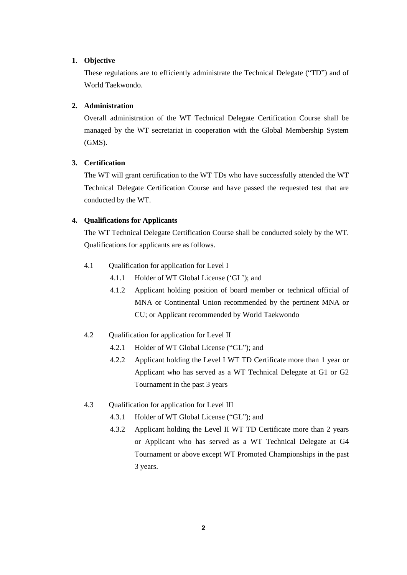### **1. Objective**

These regulations are to efficiently administrate the Technical Delegate ("TD") and of World Taekwondo.

### **2. Administration**

Overall administration of the WT Technical Delegate Certification Course shall be managed by the WT secretariat in cooperation with the Global Membership System (GMS).

### **3. Certification**

The WT will grant certification to the WT TDs who have successfully attended the WT Technical Delegate Certification Course and have passed the requested test that are conducted by the WT.

# **4. Qualifications for Applicants**

The WT Technical Delegate Certification Course shall be conducted solely by the WT. Qualifications for applicants are as follows.

- 4.1 Qualification for application for Level I
	- 4.1.1 Holder of WT Global License ('GL'); and
	- 4.1.2 Applicant holding position of board member or technical official of MNA or Continental Union recommended by the pertinent MNA or CU; or Applicant recommended by World Taekwondo
- 4.2 Qualification for application for Level II
	- 4.2.1 Holder of WT Global License ("GL"); and
	- 4.2.2 Applicant holding the Level I WT TD Certificate more than 1 year or Applicant who has served as a WT Technical Delegate at G1 or G2 Tournament in the past 3 years
- 4.3 Qualification for application for Level III
	- 4.3.1 Holder of WT Global License ("GL"); and
	- 4.3.2 Applicant holding the Level II WT TD Certificate more than 2 years or Applicant who has served as a WT Technical Delegate at G4 Tournament or above except WT Promoted Championships in the past 3 years.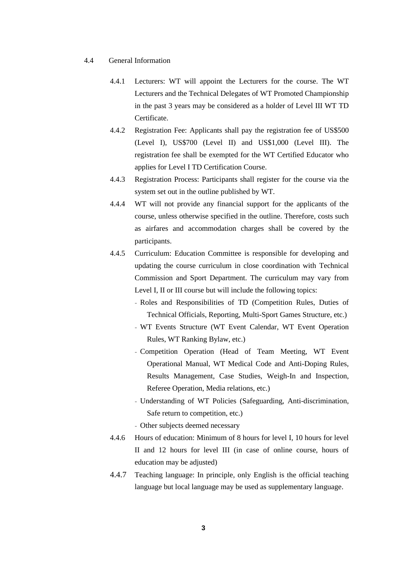#### 4.4 General Information

- 4.4.1 Lecturers: WT will appoint the Lecturers for the course. The WT Lecturers and the Technical Delegates of WT Promoted Championship in the past 3 years may be considered as a holder of Level III WT TD Certificate.
- 4.4.2 Registration Fee: Applicants shall pay the registration fee of US\$500 (Level I), US\$700 (Level II) and US\$1,000 (Level III). The registration fee shall be exempted for the WT Certified Educator who applies for Level I TD Certification Course.
- 4.4.3 Registration Process: Participants shall register for the course via the system set out in the outline published by WT.
- 4.4.4 WT will not provide any financial support for the applicants of the course, unless otherwise specified in the outline. Therefore, costs such as airfares and accommodation charges shall be covered by the participants.
- 4.4.5 Curriculum: Education Committee is responsible for developing and updating the course curriculum in close coordination with Technical Commission and Sport Department. The curriculum may vary from Level I, II or III course but will include the following topics:
	- Roles and Responsibilities of TD (Competition Rules, Duties of Technical Officials, Reporting, Multi-Sport Games Structure, etc.)
	- WT Events Structure (WT Event Calendar, WT Event Operation Rules, WT Ranking Bylaw, etc.)
	- Competition Operation (Head of Team Meeting, WT Event Operational Manual, WT Medical Code and Anti-Doping Rules, Results Management, Case Studies, Weigh-In and Inspection, Referee Operation, Media relations, etc.)
	- Understanding of WT Policies (Safeguarding, Anti-discrimination, Safe return to competition, etc.)
	- Other subjects deemed necessary
- 4.4.6 Hours of education: Minimum of 8 hours for level I, 10 hours for level II and 12 hours for level III (in case of online course, hours of education may be adjusted)
- 4.4.7 Teaching language: In principle, only English is the official teaching language but local language may be used as supplementary language.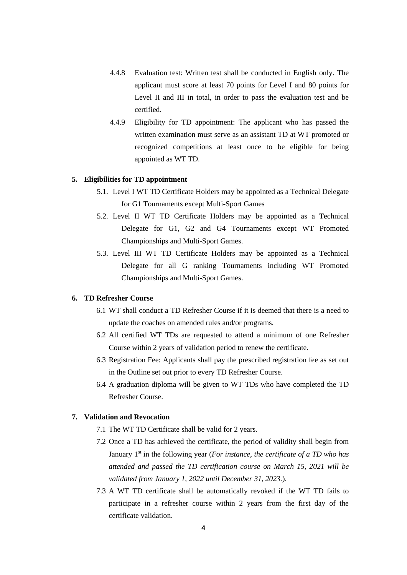- 4.4.8 Evaluation test: Written test shall be conducted in English only. The applicant must score at least 70 points for Level I and 80 points for Level II and III in total, in order to pass the evaluation test and be certified.
- 4.4.9 Eligibility for TD appointment: The applicant who has passed the written examination must serve as an assistant TD at WT promoted or recognized competitions at least once to be eligible for being appointed as WT TD.

#### **5. Eligibilities for TD appointment**

- 5.1. Level I WT TD Certificate Holders may be appointed as a Technical Delegate for G1 Tournaments except Multi-Sport Games
- 5.2. Level II WT TD Certificate Holders may be appointed as a Technical Delegate for G1, G2 and G4 Tournaments except WT Promoted Championships and Multi-Sport Games.
- 5.3. Level III WT TD Certificate Holders may be appointed as a Technical Delegate for all G ranking Tournaments including WT Promoted Championships and Multi-Sport Games.

#### **6. TD Refresher Course**

- 6.1 WT shall conduct a TD Refresher Course if it is deemed that there is a need to update the coaches on amended rules and/or programs.
- 6.2 All certified WT TDs are requested to attend a minimum of one Refresher Course within 2 years of validation period to renew the certificate.
- 6.3 Registration Fee: Applicants shall pay the prescribed registration fee as set out in the Outline set out prior to every TD Refresher Course.
- 6.4 A graduation diploma will be given to WT TDs who have completed the TD Refresher Course.

#### **7. Validation and Revocation**

- 7.1 The WT TD Certificate shall be valid for 2 years.
- 7.2 Once a TD has achieved the certificate, the period of validity shall begin from January 1st in the following year (*For instance, the certificate of a TD who has attended and passed the TD certification course on March 15, 2021 will be validated from January 1, 2022 until December 31, 2023.*).
- 7.3 A WT TD certificate shall be automatically revoked if the WT TD fails to participate in a refresher course within 2 years from the first day of the certificate validation.